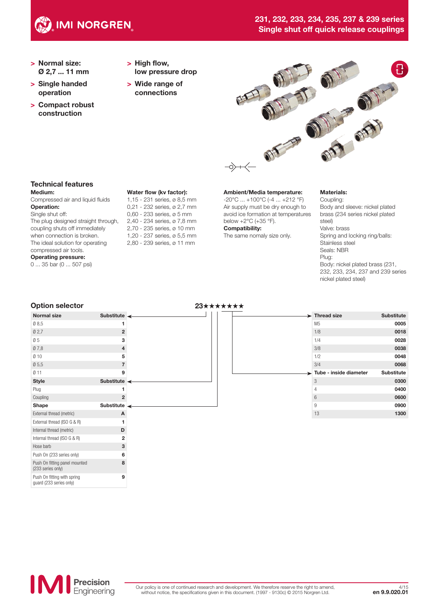

# 231, 232, 233, 234, 235, 237 & 239 series Single shut off quick release couplings

- > Normal size: Ø 2,7 ... 11 mm
- > Single handed operation
- > Compact robust construction
- > High flow, low pressure drop
- > Wide range of connections



# Technical features

#### Medium:

Compressed air and liquid fluids Operation: Single shut off:

The plug designed straight through, coupling shuts off immediately when connection is broken. The ideal solution for operating compressed air tools. Operating pressure:

0 ... 35 bar (0 ... 507 psi)

#### Water flow (kv factor):

1,15 - 231 series, ø 8,5 mm 0,21 - 232 series, ø 2,7 mm 0,60 - 233 series, ø 5 mm 2,40 - 234 series, ø 7,8 mm 2,70 - 235 series, ø 10 mm 1,20 - 237 series, ø 5,5 mm 2,80 - 239 series, ø 11 mm

#### Ambient/Media temperature:

-20°C ... +100°C (-4 ... +212 °F) Air supply must be dry enough to avoid ice formation at temperatures below +2°C (+35 °F). Compatibility:

The same nomaly size only.

#### Materials:

Coupling: Body and sleeve: nickel plated brass (234 series nickel plated steel) Valve: brass Spring and locking ring/balls: Stainless steel Seals: NBR Plug: Body: nickel plated brass (231, 232, 233, 234, 237 and 239 series nickel plated steel)

#### Option selector 23★★★★★★★ Normal size Substitute  $\emptyset$  8,5 **1** Ø 2,7 2  $\emptyset$  5 3 Ø 7,8 4  $\emptyset$  10 5  $\emptyset$  5,5 7  $\emptyset$  11 9 Style Substitute Plug **1** Coupling 22 Shape Substitute External thread (metric) **A** External thread (ISO G & R)  $\blacksquare$ Internal thread (metric) **D** Internal thread  $(ISO G & R)$  2 Hose barb 3 **Thread size Substitute** M5 0005 1/8 **0018** 1/4 0028 3/8 0038 1/2 0048 3/4 0068 Tube - inside diameter Substitute 3 0300 4 0400 6 0600 9 **0900** 13 **1300**



Push On (233 series only) 6

8

9

Push On fitting panel mounted (233 series only)

Push On fitting with spring guard (233 series only)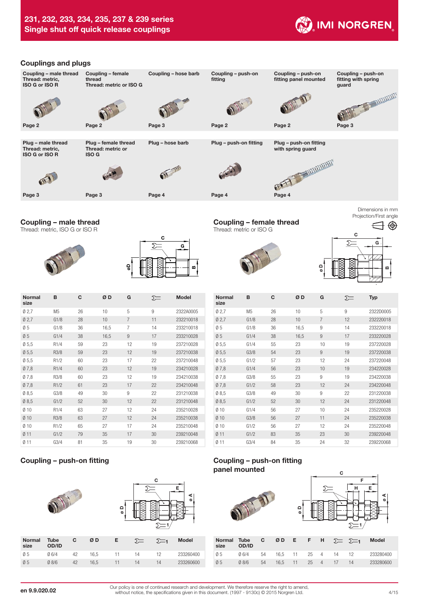

#### Couplings and plugs



# Coupling – male thread

Thread: metric, ISO G or ISO R





| <b>Normal</b><br>size | B                 | C  | ØD   | G              | ∑= | <b>Model</b> |
|-----------------------|-------------------|----|------|----------------|----|--------------|
| 02,7                  | M <sub>5</sub>    | 26 | 10   | 5              | 9  | 2322A0005    |
| 02,7                  | G1/8              | 28 | 10   | $\overline{7}$ | 11 | 232210018    |
| 05                    | G1/8              | 36 | 16,5 | 7              | 14 | 233210018    |
| 05                    | G1/4              | 38 | 16,5 | 9              | 17 | 233210028    |
| 05,5                  | R1/4              | 59 | 23   | 12             | 19 | 237210028    |
| $\varnothing$ 5,5     | R3/8              | 59 | 23   | 12             | 19 | 237210038    |
| Ø 5,5                 | R1/2              | 60 | 23   | 17             | 22 | 237210048    |
| 07,8                  | R <sub>1</sub> /4 | 60 | 23   | 12             | 19 | 234210028    |
| 07,8                  | R3/8              | 60 | 23   | 12             | 19 | 234210038    |
| Ø7,8                  | R1/2              | 61 | 23   | 17             | 22 | 234210048    |
| 08,5                  | G3/8              | 49 | 30   | 9              | 22 | 231210038    |
| 08,5                  | G1/2              | 52 | 30   | 12             | 22 | 231210048    |
| Ø10                   | R1/4              | 63 | 27   | 12             | 24 | 235210028    |
| $Ø$ 10                | R3/8              | 63 | 27   | 12             | 24 | 235210038    |
| 010                   | R1/2              | 65 | 27   | 17             | 24 | 235210048    |
| Ø <sub>11</sub>       | G1/2              | 79 | 35   | 17             | 30 | 239210048    |
| $Ø$ 11                | G3/4              | 81 | 35   | 19             | 30 | 239210068    |

|                |                      |    |      | $\mathbf{\Omega}$<br>$\circ$ | $\Sigma$ | С           | ⋖<br>$\circ$ |
|----------------|----------------------|----|------|------------------------------|----------|-------------|--------------|
| Normal<br>size | <b>Tube</b><br>OD/ID | C  | ØD   | Е                            | $\Sigma$ | $\Sigma$ =1 | <b>Model</b> |
| Ø5             | $Ø$ 6/4              | 42 | 16,5 | 11                           | 14       | 12          | 233260400    |
| 05             | $Ø$ 8/6              | 42 | 16,5 | 11                           | 14       | 14          | 233260600    |

Coupling – female thread Thread: metric or ISO G



1  $\bigoplus$ € C Ś G ø D œ

Dimensions in mm Projection/First angle

| <b>Normal</b><br>size | B              | C  | ØD   | G  | ∑= | <b>Typ</b> |
|-----------------------|----------------|----|------|----|----|------------|
| Ø2,7                  | M <sub>5</sub> | 26 | 10   | 5  | 9  | 2322D0005  |
| 02,7                  | G1/8           | 28 | 10   | 7  | 12 | 232220018  |
| 05                    | G1/8           | 36 | 16,5 | 9  | 14 | 233220018  |
| 05                    | G1/4           | 38 | 16,5 | 9  | 17 | 233220028  |
| 05,5                  | G1/4           | 55 | 23   | 10 | 19 | 237220028  |
| 05,5                  | G3/8           | 54 | 23   | 9  | 19 | 237220038  |
| 05,5                  | G1/2           | 57 | 23   | 12 | 24 | 237220048  |
| Ø7,8                  | G1/4           | 56 | 23   | 10 | 19 | 234220028  |
| 07,8                  | G3/8           | 55 | 23   | 9  | 19 | 234220038  |
| Ø7,8                  | G1/2           | 58 | 23   | 12 | 24 | 234220048  |
| 08,5                  | G3/8           | 49 | 30   | 9  | 22 | 231220038  |
| Ø8,5                  | G1/2           | 52 | 30   | 12 | 24 | 231220048  |
| 010                   | G1/4           | 56 | 27   | 10 | 24 | 235220028  |
| $Ø$ 10                | G3/8           | 56 | 27   | 11 | 24 | 235220038  |
| 010                   | G1/2           | 56 | 27   | 12 | 24 | 235220048  |
| $Ø$ 11                | G1/2           | 83 | 35   | 23 | 30 | 239220048  |
| $Ø$ 11                | G3/4           | 84 | 35   | 24 | 32 | 239220068  |

# Coupling – push-on fitting Coupling – push-on fitting panel mounted

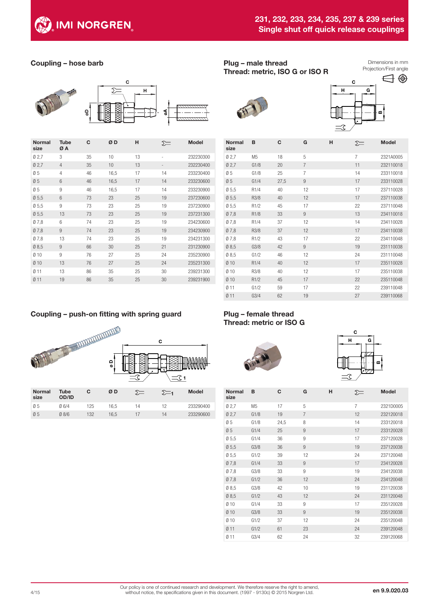

# 231, 232, 233, 234, 235, 237 & 239 series Single shut off quick release couplings

# Coupling – hose barb



| <b>Normal</b><br>size | <b>Tube</b><br>ØΑ | C  | ØD   | н  | $\Sigma$                 | <b>Model</b> |
|-----------------------|-------------------|----|------|----|--------------------------|--------------|
| 02,7                  | 3                 | 35 | 10   | 13 | $\overline{\phantom{a}}$ | 232230300    |
| Ø2,7                  | $\overline{4}$    | 35 | 10   | 13 |                          | 232230400    |
| 05                    | 4                 | 46 | 16,5 | 17 | 14                       | 233230400    |
| 05                    | 6                 | 46 | 16,5 | 17 | 14                       | 233230600    |
| 05                    | 9                 | 46 | 16,5 | 17 | 14                       | 233230900    |
| $\varnothing$ 5,5     | 6                 | 73 | 23   | 25 | 19                       | 237230600    |
| 05,5                  | 9                 | 73 | 23   | 25 | 19                       | 237230900    |
| 05,5                  | 13                | 73 | 23   | 25 | 19                       | 237231300    |
| 07,8                  | 6                 | 74 | 23   | 25 | 19                       | 234230600    |
| Ø7,8                  | 9                 | 74 | 23   | 25 | 19                       | 234230900    |
| 07,8                  | 13                | 74 | 23   | 25 | 19                       | 234231300    |
| $\varnothing$ 8,5     | 9                 | 66 | 30   | 25 | 21                       | 231230900    |
| 010                   | 9                 | 76 | 27   | 25 | 24                       | 235230900    |
| $Ø$ 10                | 13                | 76 | 27   | 25 | 24                       | 235231300    |
| 0 1 1                 | 13                | 86 | 35   | 25 | 30                       | 239231300    |
| $Ø$ 11                | 19                | 86 | 35   | 25 | 30                       | 239231900    |

### Plug – male thread Thread: metric, ISO G or ISO R

Dimensions in mm Projection/First angle





| <b>Normal</b><br>size | B                 | С    | G              | н | ∑= | <b>Model</b> |
|-----------------------|-------------------|------|----------------|---|----|--------------|
| 02,7                  | M5                | 18   | 5              |   | 7  | 2321A0005    |
| Ø2,7                  | G1/8              | 20   | $\overline{7}$ |   | 11 | 232110018    |
| 05                    | G1/8              | 25   | $\overline{7}$ |   | 14 | 233110018    |
| Ø5                    | G1/4              | 27,5 | 9              |   | 17 | 233110028    |
| $\varnothing$ 5,5     | R1/4              | 40   | 12             |   | 17 | 237110028    |
| Ø5,5                  | R3/8              | 40   | 12             |   | 17 | 237110038    |
| 05,5                  | R1/2              | 45   | 17             |   | 22 | 237110048    |
| Ø7,8                  | R1/8              | 33   | $\overline{9}$ |   | 13 | 234110018    |
| 07,8                  | R <sub>1</sub> /4 | 37   | 12             |   | 14 | 234110028    |
| Ø7,8                  | R3/8              | 37   | 12             |   | 17 | 234110038    |
| 07,8                  | R1/2              | 43   | 17             |   | 22 | 234110048    |
| Ø8,5                  | G3/8              | 42   | $\overline{9}$ |   | 19 | 231110038    |
| 08,5                  | G1/2              | 46   | 12             |   | 24 | 231110048    |
| Ø10                   | R1/4              | 40   | 12             |   | 17 | 235110028    |
| Ø 10                  | R3/8              | 40   | 12             |   | 17 | 235110038    |
| Ø10                   | R1/2              | 45   | 17             |   | 22 | 235110048    |
| Ø11                   | G1/2              | 59   | 17             |   | 22 | 239110048    |
| 011                   | G3/4              | 62   | 19             |   | 27 | 239110068    |

# Coupling – push-on fitting with spring guard



# Plug – female thread Thread: metric or ISO G





| <b>Normal</b><br>size | в              | C    | G                | н | ∑≕             | <b>Model</b> |
|-----------------------|----------------|------|------------------|---|----------------|--------------|
| 02,7                  | M <sub>5</sub> | 17   | 5                |   | $\overline{7}$ | 2321D0005    |
| 02,7                  | G1/8           | 19   | $\overline{7}$   |   | 12             | 232120018    |
| 05                    | G1/8           | 24,5 | 8                |   | 14             | 233120018    |
| Ø5                    | G1/4           | 25   | 9                |   | 17             | 233120028    |
| $\varnothing$ 5,5     | G1/4           | 36   | $\boldsymbol{9}$ |   | 17             | 237120028    |
| $\varnothing$ 5,5     | G3/8           | 36   | 9                |   | 19             | 237120038    |
| 05,5                  | G1/2           | 39   | 12               |   | 24             | 237120048    |
| 07,8                  | G1/4           | 33   | 9                |   | 17             | 234120028    |
| Ø7,8                  | G3/8           | 33   | 9                |   | 19             | 234120038    |
| 07,8                  | G1/2           | 36   | 12               |   | 24             | 234120048    |
| Ø8,5                  | G3/8           | 42   | 10               |   | 19             | 231120038    |
| Ø8,5                  | G1/2           | 43   | 12               |   | 24             | 231120048    |
| $Ø$ 10                | G1/4           | 33   | 9                |   | 17             | 235120028    |
| $Ø$ 10                | G3/8           | 33   | 9                |   | 19             | 235120038    |
| 010                   | G1/2           | 37   | 12               |   | 24             | 235120048    |
| 011                   | G1/2           | 61   | 23               |   | 24             | 239120048    |
| 0 11                  | G3/4           | 62   | 24               |   | 32             | 239120068    |